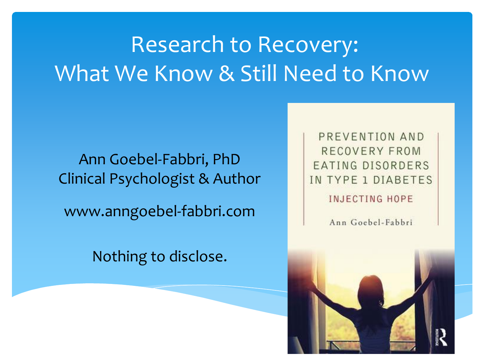### Research to Recovery: What We Know & Still Need to Know

Ann Goebel-Fabbri, PhD Clinical Psychologist & Author

www.anngoebel-fabbri.com

Nothing to disclose.

PREVENTION AND RECOVERY FROM EATING DISORDERS IN TYPE 1 DIABETES

**INJECTING HOPE** 

Ann Goebel-Fabbri

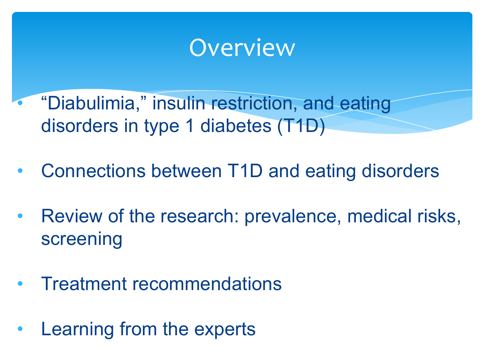### **Overview**

- "Diabulimia," insulin restriction, and eating disorders in type 1 diabetes (T1D)
- Connections between T1D and eating disorders
- Review of the research: prevalence, medical risks, screening
- Treatment recommendations
- Learning from the experts

•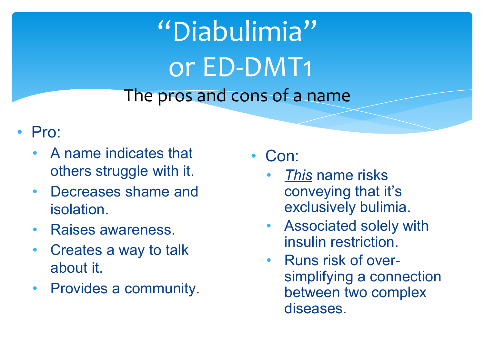# "Diabulimia" or ED-DMT1 The pros and cons of a name

- Pro:
	- A name indicates that others struggle with it.
	- Decreases shame and isolation.
	- Raises awareness.
	- Creates a way to talk about it.
	- Provides a community.

Con:

- *This* name risks conveying that it's exclusively bulimia.
- Associated solely with insulin restriction.
- Runs risk of oversimplifying a connection between two complex diseases.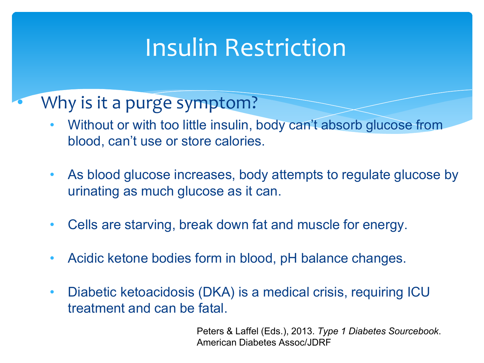### Insulin Restriction

### Why is it a purge symptom?

- Without or with too little insulin, body can't absorb glucose from blood, can't use or store calories.
- As blood glucose increases, body attempts to regulate glucose by urinating as much glucose as it can.
- Cells are starving, break down fat and muscle for energy.
- Acidic ketone bodies form in blood, pH balance changes.
- Diabetic ketoacidosis (DKA) is a medical crisis, requiring ICU treatment and can be fatal.

Peters & Laffel (Eds.), 2013. *Type 1 Diabetes Sourcebook*. American Diabetes Assoc/JDRF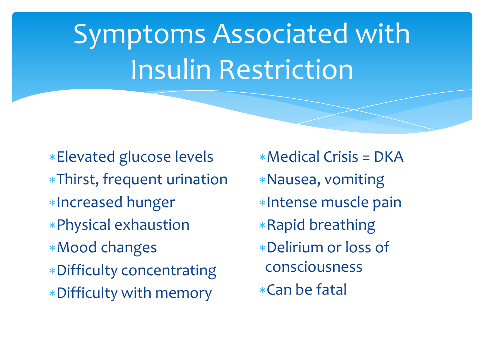# Symptoms Associated with Insulin Restriction

∗Elevated glucose levels ∗Thirst, frequent urination ∗Increased hunger ∗Physical exhaustion ∗Mood changes ∗Difficulty concentrating ∗Difficulty with memory

∗Medical Crisis = DKA ∗Nausea, vomiting ∗Intense muscle pain ∗Rapid breathing ∗Delirium or loss of consciousness ∗Can be fatal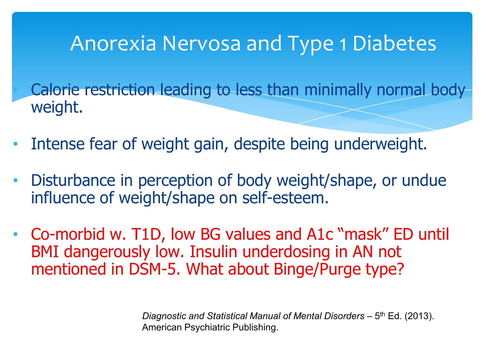### Anorexia Nervosa and Type 1 Diabetes

• Calorie restriction leading to less than minimally normal body weight.

- Intense fear of weight gain, despite being underweight.
- Disturbance in perception of body weight/shape, or undue influence of weight/shape on self-esteem.
- Co-morbid w. T1D, low BG values and A1c "mask" ED until BMI dangerously low. Insulin underdosing in AN not mentioned in DSM-5. What about Binge/Purge type?

*Diagnostic and Statistical Manual of Mental Disorders – 5<sup>th</sup> Ed. (2013).* American Psychiatric Publishing.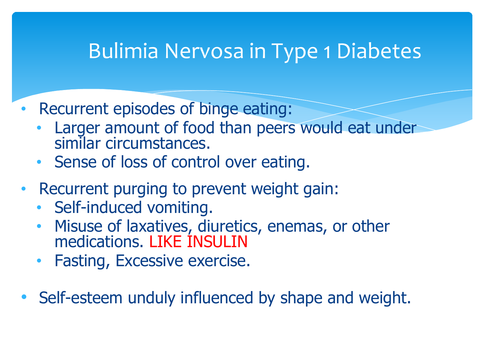### Bulimia Nervosa in Type 1 Diabetes

- Recurrent episodes of binge eating:
	- Larger amount of food than peers would eat under similar circumstances.
	- Sense of loss of control over eating.
- Recurrent purging to prevent weight gain:
	- Self-induced vomiting.
	- Misuse of laxatives, diuretics, enemas, or other medications. LIKE INSULIN
	- Fasting, Excessive exercise.
- Self-esteem unduly influenced by shape and weight.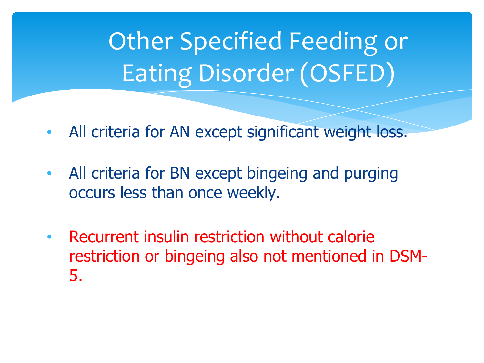Other Specified Feeding or Eating Disorder (OSFED)

- All criteria for AN except significant weight loss.
- All criteria for BN except bingeing and purging occurs less than once weekly.
- Recurrent insulin restriction without calorie restriction or bingeing also not mentioned in DSM-5.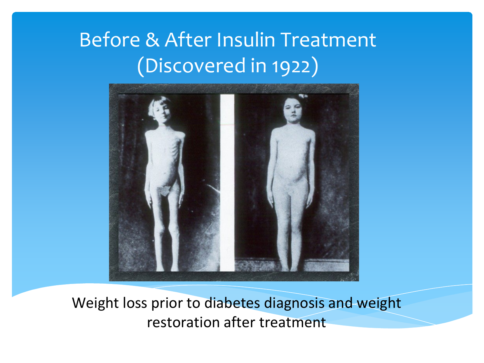### Before & After Insulin Treatment (Discovered in 1922)



Weight loss prior to diabetes diagnosis and weight restoration after treatment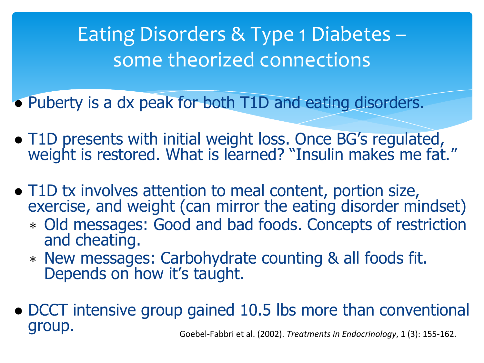Eating Disorders & Type 1 Diabetes – some theorized connections

• Puberty is a dx peak for both T1D and eating disorders.

- T1D presents with initial weight loss. Once BG's regulated, weight is restored. What is learned? "Insulin makes me fat."
- T1D tx involves attention to meal content, portion size, exercise, and weight (can mirror the eating disorder mindset)
	- ∗ Old messages: Good and bad foods. Concepts of restriction and cheating.
	- <sup>∗</sup> New messages: Carbohydrate counting & all foods fit. Depends on how it's taught.
- DCCT intensive group gained 10.5 lbs more than conventional group. Goebel-Fabbri et al. (2002). *Treatments in Endocrinology*, 1 (3): 155-162.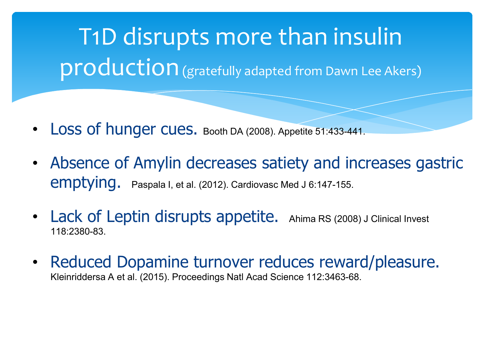T1D disrupts more than insulin production (gratefully adapted from Dawn Lee Akers)

- Loss of hunger cues. Booth DA (2008). Appetite 51:433-441.
- Absence of Amylin decreases satiety and increases gastric emptying. Paspala I, et al. (2012). Cardiovasc Med J 6:147-155.
- Lack of Leptin disrupts appetite. Ahima RS (2008) J Clinical Invest 118:2380-83.
- Reduced Dopamine turnover reduces reward/pleasure. Kleinriddersa A et al. (2015). Proceedings Natl Acad Science 112:3463-68.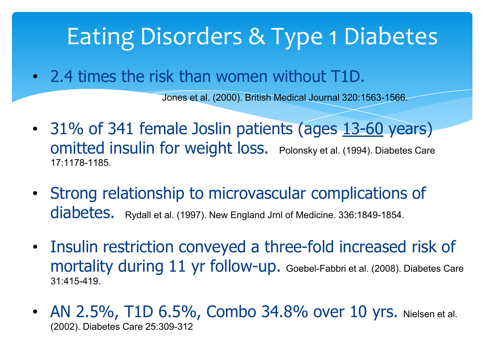## Eating Disorders & Type 1 Diabetes

• 2.4 times the risk than women without T1D.

Jones et al. (2000). British Medical Journal 320:1563-1566.

- 31% of 341 female Joslin patients (ages 13-60 years) omitted insulin for weight loss. Polonsky et al. (1994). Diabetes Care 17:1178-1185.
- Strong relationship to microvascular complications of diabetes. Rydall et al. (1997). New England Jrnl of Medicine. 336:1849-1854.
- Insulin restriction conveyed a three-fold increased risk of mortality during 11 yr follow-up. Goebel-Fabbri et al. (2008). Diabetes Care 31:415-419.
- AN 2.5%, T1D 6.5%, Combo 34.8% over 10 yrs. Nielsen et al. (2002). Diabetes Care 25:309-312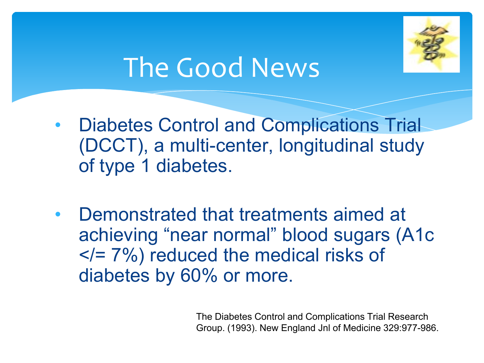

# The Good News

- Diabetes Control and Complications Trial (DCCT), a multi-center, longitudinal study of type 1 diabetes.
- Demonstrated that treatments aimed at achieving "near normal" blood sugars (A1c  $\langle 2|$  7%) reduced the medical risks of diabetes by 60% or more.

Group. (1993). New England Jnl of Medicine 329:977-986. The Diabetes Control and Complications Trial Research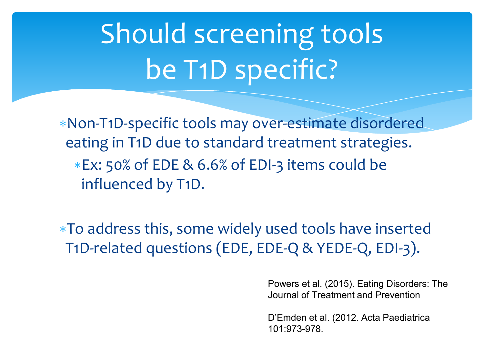# Should screening tools be T1D specific?

∗Non-T1D-specific tools may over-estimate disordered eating in T1D due to standard treatment strategies. ∗Ex: 50% of EDE & 6.6% of EDI-3 items could be influenced by T1D.

∗To address this, some widely used tools have inserted T1D-related questions (EDE, EDE-Q & YEDE-Q, EDI-3).

> Powers et al. (2015). Eating Disorders: The Journal of Treatment and Prevention

D'Emden et al. (2012. Acta Paediatrica 101:973-978.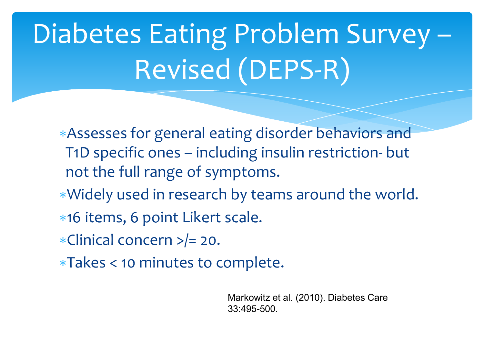# Diabetes Eating Problem Survey – Revised (DEPS-R)

∗Assesses for general eating disorder behaviors and T1D specific ones – including insulin restriction- but not the full range of symptoms.

- ∗Widely used in research by teams around the world.
- ∗16 items, 6 point Likert scale.
- ∗Clinical concern >/= 20.
- ∗Takes < 10 minutes to complete.

Markowitz et al. (2010). Diabetes Care 33:495-500.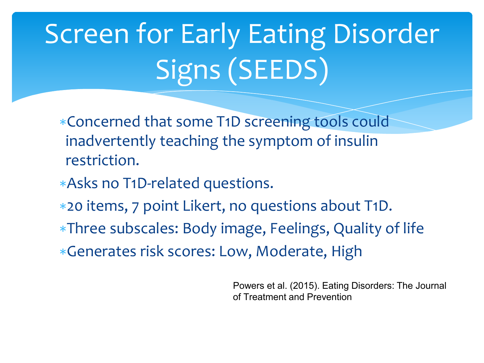# Screen for Early Eating Disorder Signs (SEEDS)

- ∗Concerned that some T1D screening tools could inadvertently teaching the symptom of insulin restriction.
- ∗Asks no T1D-related questions.
- ∗20 items, 7 point Likert, no questions about T1D.
- ∗Three subscales: Body image, Feelings, Quality of life
- ∗Generates risk scores: Low, Moderate, High

Powers et al. (2015). Eating Disorders: The Journal of Treatment and Prevention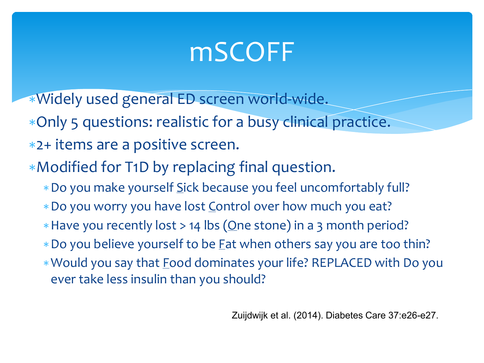# mSCOFF

- ∗Widely used general ED screen world-wide.
- ∗Only 5 questions: realistic for a busy clinical practice.
- ∗2+ items are a positive screen.
- ∗Modified for T1D by replacing final question.
	- ∗Do you make yourself Sick because you feel uncomfortably full?
	- ∗Do you worry you have lost Control over how much you eat?
	- ∗Have you recently lost > 14 lbs (One stone) in a 3 month period?
	- ∗Do you believe yourself to be Fat when others say you are too thin?
	- ∗Would you say that Food dominates your life? REPLACED with Do you ever take less insulin than you should?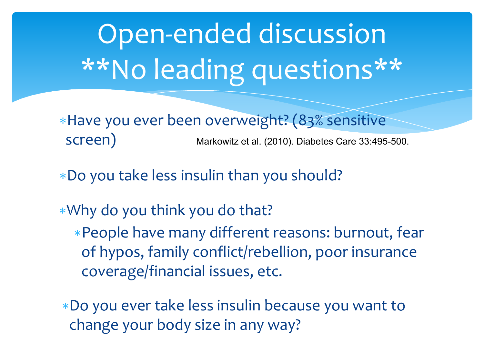# Open-ended discussion \*\*No leading questions\*\*

∗Have you ever been overweight? (83% sensitive SCreen) Markowitz et al. (2010). Diabetes Care 33:495-500.

- ∗Do you take less insulin than you should?
- ∗Why do you think you do that? ∗People have many different reasons: burnout, fear of hypos, family conflict/rebellion, poor insurance coverage/financial issues, etc.
- ∗Do you ever take less insulin because you want to change your body size in any way?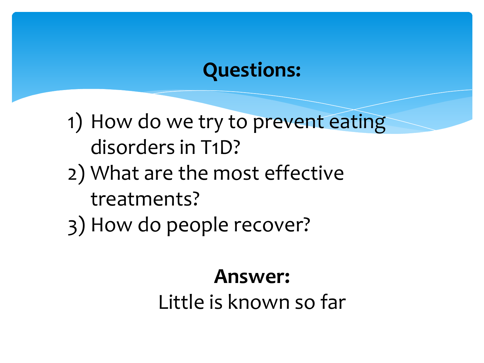### **Questions:**

1) How do we try to prevent eating disorders in T1D?

- 2) What are the most effective treatments?
- 3) How do people recover?

### **Answer:**

Little is known so far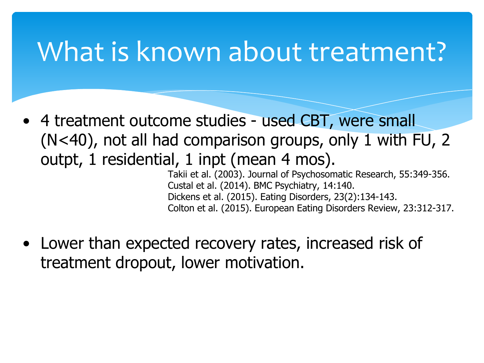## What is known about treatment?

• 4 treatment outcome studies - used CBT, were small (N<40), not all had comparison groups, only 1 with FU, 2 outpt, 1 residential, 1 inpt (mean 4 mos).

Takii et al. (2003). Journal of Psychosomatic Research, 55:349-356. Custal et al. (2014). BMC Psychiatry, 14:140. Dickens et al. (2015). Eating Disorders, 23(2):134-143. Colton et al. (2015). European Eating Disorders Review, 23:312-317.

• Lower than expected recovery rates, increased risk of treatment dropout, lower motivation.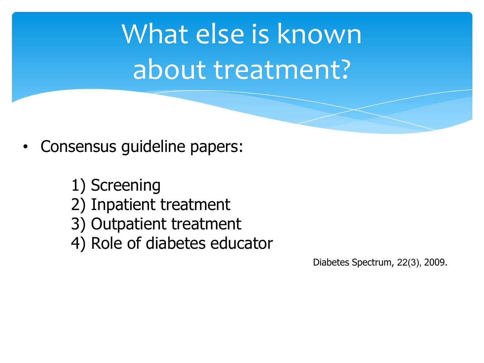What else is known about treatment?

- Consensus guideline papers:
	- 1) Screening
	- 2) Inpatient treatment
	- 3) Outpatient treatment
	- 4) Role of diabetes educator

Diabetes Spectrum, 22(3), 2009.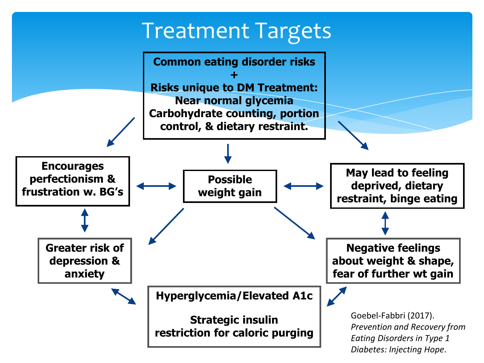### Treatment Targets

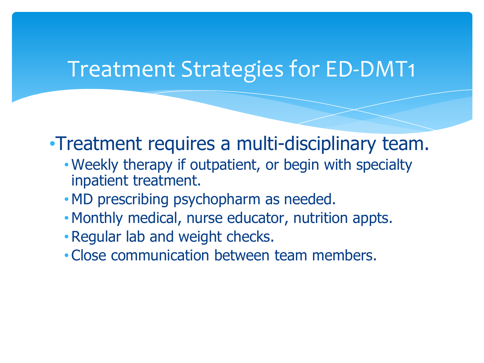### Treatment Strategies for ED-DMT1

### •Treatment requires a multi-disciplinary team.

- Weekly therapy if outpatient, or begin with specialty inpatient treatment.
- MD prescribing psychopharm as needed.
- Monthly medical, nurse educator, nutrition appts.
- Regular lab and weight checks.
- Close communication between team members.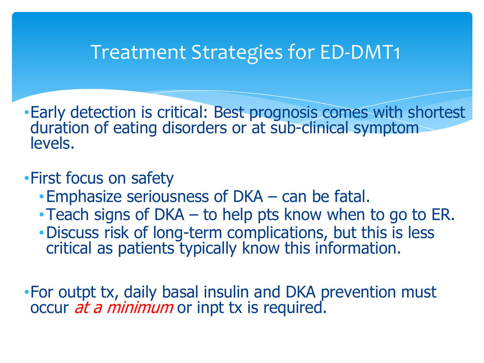### Treatment Strategies for ED-DMT1

•Early detection is critical: Best prognosis comes with shortest duration of eating disorders or at sub-clinical symptom levels.

#### •First focus on safety

- •Emphasize seriousness of DKA can be fatal.
- •Teach signs of DKA to help pts know when to go to ER.
- •Discuss risk of long-term complications, but this is less critical as patients typically know this information.

•For outpt tx, daily basal insulin and DKA prevention must occur *at a minimum* or inpt tx is required.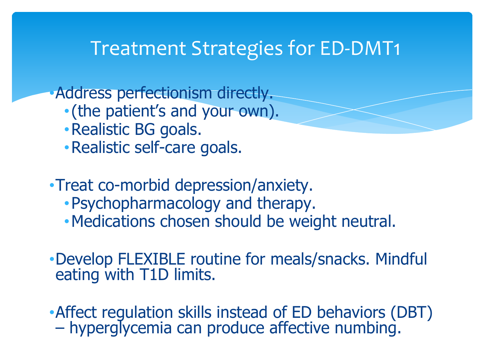### Treatment Strategies for ED-DMT1

•Address perfectionism directly.

- •(the patient's and your own).
- •Realistic BG goals.
- •Realistic self-care goals.
- •Treat co-morbid depression/anxiety.
	- •Psychopharmacology and therapy.
	- •Medications chosen should be weight neutral.
- •Develop FLEXIBLE routine for meals/snacks. Mindful eating with T1D limits.

•Affect regulation skills instead of ED behaviors (DBT) – hyperglycemia can produce affective numbing.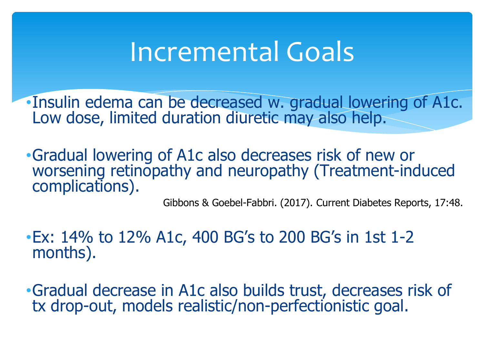## Incremental Goals

- •Insulin edema can be decreased w. gradual lowering of A1c. Low dose, limited duration diuretic may also help.
- •Gradual lowering of A1c also decreases risk of new or worsening retinopathy and neuropathy (Treatment-induced complications).

Gibbons & Goebel-Fabbri. (2017). Current Diabetes Reports, 17:48.

- •Ex: 14% to 12% A1c, 400 BG's to 200 BG's in 1st 1-2 months).
- •Gradual decrease in A1c also builds trust, decreases risk of tx drop-out, models realistic/non-perfectionistic goal.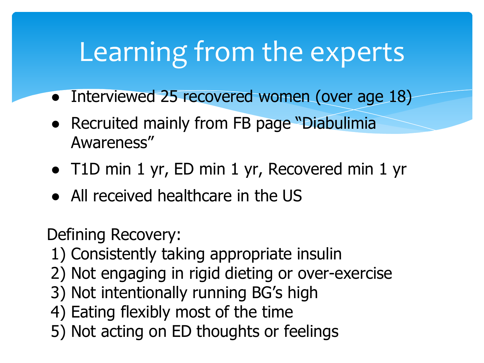# Learning from the experts

- Interviewed 25 recovered women (over age 18)
- Recruited mainly from FB page "Diabulimia" Awareness"
- T1D min 1 yr, ED min 1 yr, Recovered min 1 yr
- All received healthcare in the US

Defining Recovery:

- 1) Consistently taking appropriate insulin
- 2) Not engaging in rigid dieting or over-exercise
- 3) Not intentionally running BG's high
- 4) Eating flexibly most of the time
- 5) Not acting on ED thoughts or feelings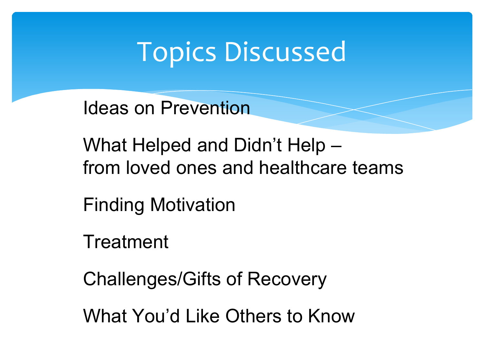## Topics Discussed

Ideas on Prevention

What Helped and Didn't Help – from loved ones and healthcare teams

Finding Motivation

**Treatment** 

Challenges/Gifts of Recovery

What You'd Like Others to Know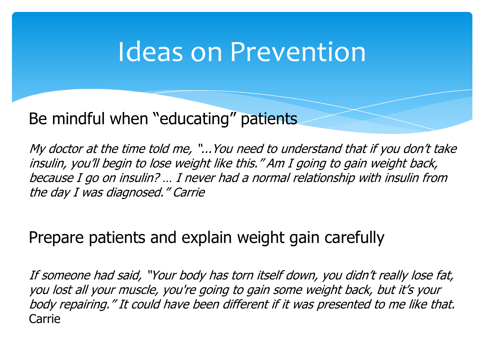### Ideas on Prevention

#### Be mindful when "educating" patients

My doctor at the time told me, "...You need to understand that if you don't take insulin, you'll begin to lose weight like this." Am I going to gain weight back, because I go on insulin? … I never had a normal relationship with insulin from the day I was diagnosed." Carrie

#### Prepare patients and explain weight gain carefully

If someone had said, "Your body has torn itself down, you didn't really lose fat, you lost all your muscle, you're going to gain some weight back, but it's your body repairing." It could have been different if it was presented to me like that. Carrie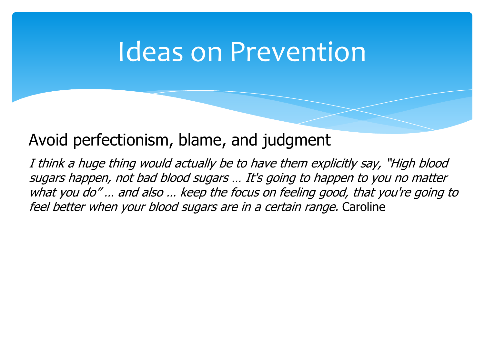### Ideas on Prevention

#### Avoid perfectionism, blame, and judgment

I think a huge thing would actually be to have them explicitly say, "High blood sugars happen, not bad blood sugars … It's going to happen to you no matter what you do" … and also … keep the focus on feeling good, that you're going to feel better when your blood sugars are in a certain range. Caroline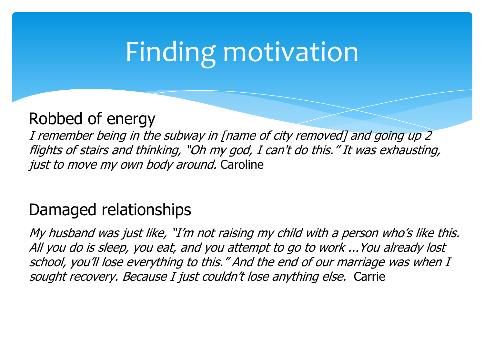# Finding motivation

#### Robbed of energy

I remember being in the subway in [name of city removed] and going up 2 flights of stairs and thinking, "Oh my god, I can't do this." It was exhausting, just to move my own body around. Caroline

#### Damaged relationships

My husband was just like, "I'm not raising my child with a person who's like this. All you do is sleep, you eat, and you attempt to go to work ...You already lost school, you'll lose everything to this." And the end of our marriage was when I sought recovery. Because I just couldn't lose anything else. Carrie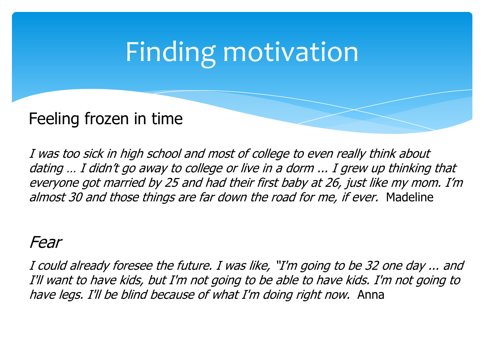# Finding motivation

### Feeling frozen in time

I was too sick in high school and most of college to even really think about dating … I didn't go away to college or live in a dorm ... I grew up thinking that everyone got married by 25 and had their first baby at 26, just like my mom. I'm almost 30 and those things are far down the road for me, if ever. Madeline

#### Fear

I could already foresee the future. I was like, "I'm going to be 32 one day ... and I'll want to have kids, but I'm not going to be able to have kids. I'm not going to have legs. I'll be blind because of what I'm doing right now. Anna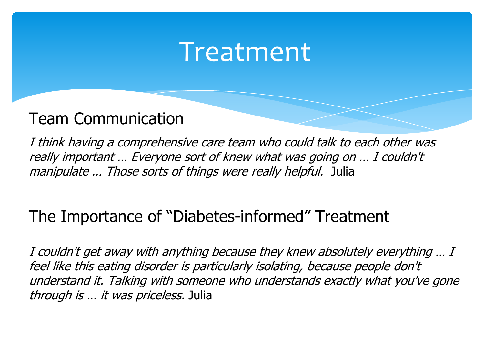### Treatment

#### Team Communication

I think having a comprehensive care team who could talk to each other was really important … Everyone sort of knew what was going on … I couldn't manipulate ... Those sorts of things were really helpful. Julia

### The Importance of "Diabetes-informed" Treatment

I couldn't get away with anything because they knew absolutely everything … I feel like this eating disorder is particularly isolating, because people don't understand it. Talking with someone who understands exactly what you've gone through is … it was priceless. Julia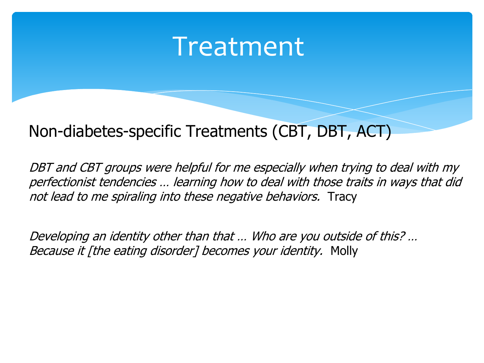### Treatment

#### Non-diabetes-specific Treatments (CBT, DBT, ACT)

DBT and CBT groups were helpful for me especially when trying to deal with my perfectionist tendencies … learning how to deal with those traits in ways that did not lead to me spiraling into these negative behaviors. Tracy

Developing an identity other than that … Who are you outside of this? … Because it [the eating disorder] becomes your identity. Molly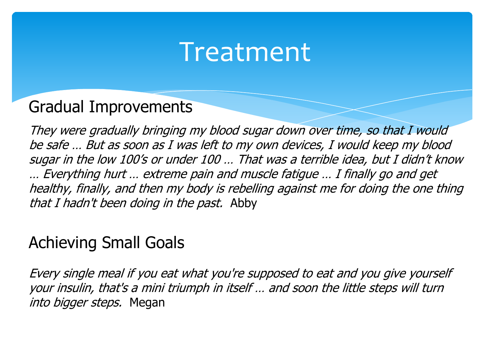### Treatment

#### Gradual Improvements

They were gradually bringing my blood sugar down over time, so that I would be safe … But as soon as I was left to my own devices, I would keep my blood sugar in the low 100's or under 100 … That was a terrible idea, but I didn't know … Everything hurt … extreme pain and muscle fatigue … I finally go and get healthy, finally, and then my body is rebelling against me for doing the one thing that I hadn't been doing in the past. Abby

#### Achieving Small Goals

Every single meal if you eat what you're supposed to eat and you give yourself your insulin, that's a mini triumph in itself … and soon the little steps will turn into bigger steps. Megan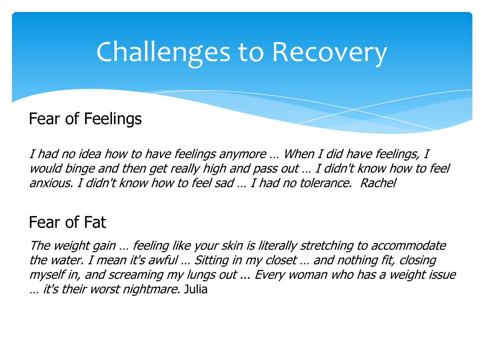# Challenges to Recovery

### Fear of Feelings

I had no idea how to have feelings anymore … When I did have feelings, I would binge and then get really high and pass out … I didn't know how to feel anxious. I didn't know how to feel sad … I had no tolerance. Rachel

#### Fear of Fat

The weight gain … feeling like your skin is literally stretching to accommodate the water. I mean it's awful … Sitting in my closet … and nothing fit, closing myself in, and screaming my lungs out ... Every woman who has a weight issue … it's their worst nightmare. Julia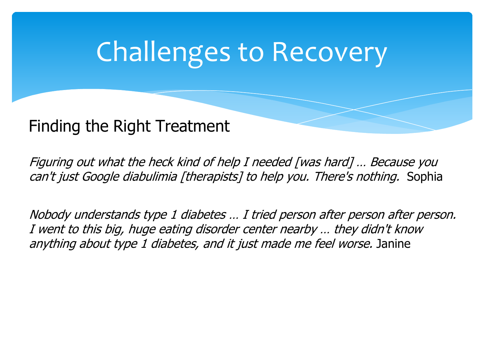# Challenges to Recovery

#### Finding the Right Treatment

Figuring out what the heck kind of help I needed [was hard] … Because you can't just Google diabulimia [therapists] to help you. There's nothing. Sophia

Nobody understands type 1 diabetes … I tried person after person after person. I went to this big, huge eating disorder center nearby … they didn't know anything about type 1 diabetes, and it just made me feel worse. Janine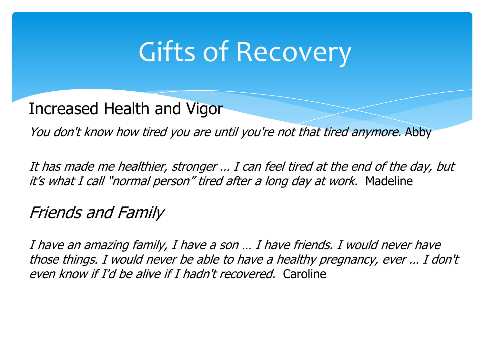# Gifts of Recovery

Increased Health and Vigor

You don't know how tired you are until you're not that tired anymore. Abby

It has made me healthier, stronger … I can feel tired at the end of the day, but it's what I call "normal person" tired after a long day at work. Madeline

Friends and Family

I have an amazing family, I have a son … I have friends. I would never have those things. I would never be able to have a healthy pregnancy, ever … I don't even know if I'd be alive if I hadn't recovered. Caroline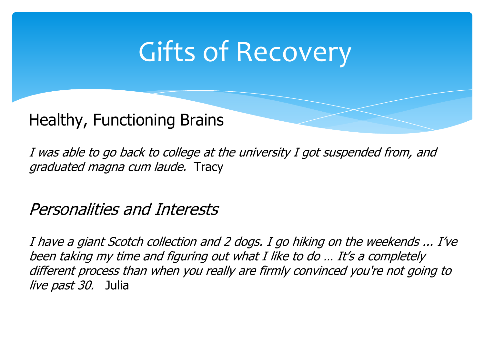# Gifts of Recovery

#### Healthy, Functioning Brains

I was able to go back to college at the university I got suspended from, and graduated magna cum laude. Tracy

Personalities and Interests

I have a giant Scotch collection and 2 dogs. I go hiking on the weekends ... I've been taking my time and figuring out what I like to do ... It's a completely different process than when you really are firmly convinced you're not going to live past 30. Julia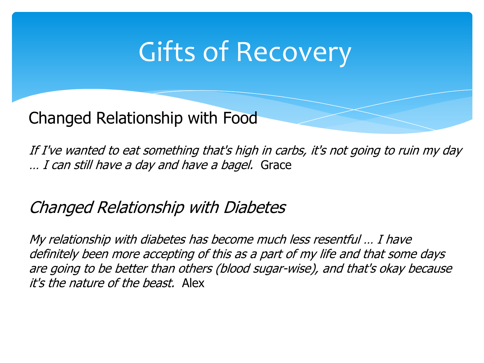# Gifts of Recovery

Changed Relationship with Food

If I've wanted to eat something that's high in carbs, it's not going to ruin my day … I can still have a day and have a bagel. Grace

#### Changed Relationship with Diabetes

My relationship with diabetes has become much less resentful … I have definitely been more accepting of this as a part of my life and that some days are going to be better than others (blood sugar-wise), and that's okay because it's the nature of the beast. Alex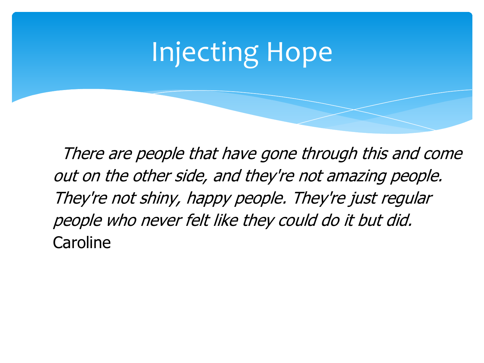# Injecting Hope

There are people that have gone through this and come out on the other side, and they're not amazing people. They're not shiny, happy people. They're just regular people who never felt like they could do it but did. **Caroline**